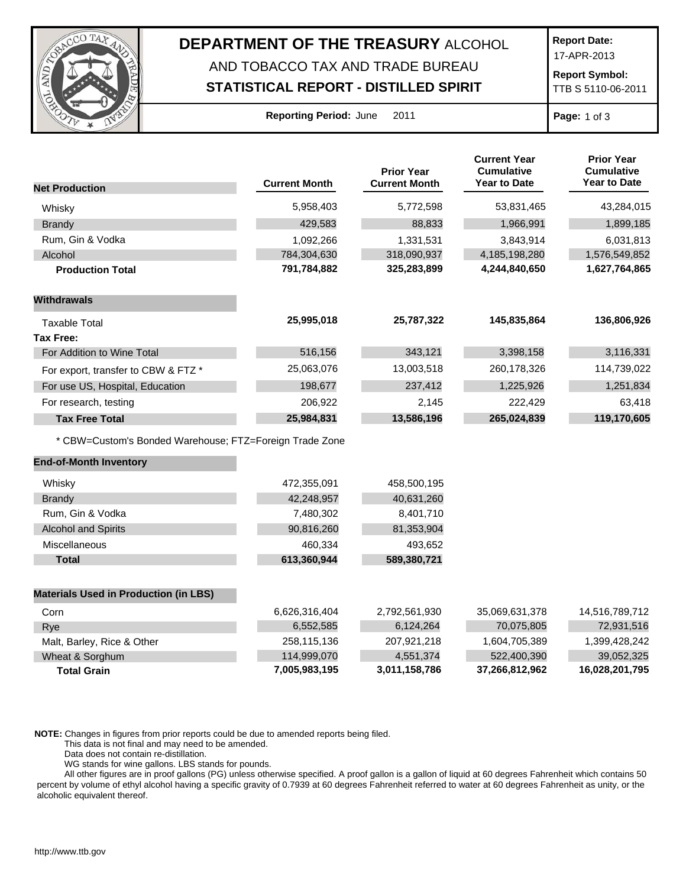

## **DEPARTMENT OF THE TREASURY** ALCOHOL AND TOBACCO TAX AND TRADE BUREAU

## **STATISTICAL REPORT - DISTILLED SPIRIT**

**Report Date:**

17-APR-2013

**Report Symbol:** TTB S 5110-06-2011

| <b>Reporting Period: June</b> |  |  | 201 |
|-------------------------------|--|--|-----|
|-------------------------------|--|--|-----|

**Page:** 1 of 3

|                                                         |                      | <b>Prior Year</b>    | <b>Current Year</b><br><b>Cumulative</b> | <b>Prior Year</b><br><b>Cumulative</b> |
|---------------------------------------------------------|----------------------|----------------------|------------------------------------------|----------------------------------------|
| <b>Net Production</b>                                   | <b>Current Month</b> | <b>Current Month</b> | <b>Year to Date</b>                      | <b>Year to Date</b>                    |
| Whisky                                                  | 5,958,403            | 5,772,598            | 53,831,465                               | 43,284,015                             |
| <b>Brandy</b>                                           | 429,583              | 88,833               | 1,966,991                                | 1,899,185                              |
| Rum, Gin & Vodka                                        | 1,092,266            | 1,331,531            | 3,843,914                                | 6,031,813                              |
| Alcohol                                                 | 784,304,630          | 318,090,937          | 4,185,198,280                            | 1,576,549,852                          |
| <b>Production Total</b>                                 | 791,784,882          | 325,283,899          | 4,244,840,650                            | 1,627,764,865                          |
| <b>Withdrawals</b>                                      |                      |                      |                                          |                                        |
| Taxable Total                                           | 25,995,018           | 25,787,322           | 145,835,864                              | 136,806,926                            |
| <b>Tax Free:</b>                                        |                      |                      |                                          |                                        |
| For Addition to Wine Total                              | 516,156              | 343,121              | 3,398,158                                | 3,116,331                              |
| For export, transfer to CBW & FTZ *                     | 25,063,076           | 13,003,518           | 260,178,326                              | 114,739,022                            |
| For use US, Hospital, Education                         | 198,677              | 237,412              | 1,225,926                                | 1,251,834                              |
| For research, testing                                   | 206,922              | 2,145                | 222,429                                  | 63,418                                 |
| <b>Tax Free Total</b>                                   | 25,984,831           | 13,586,196           | 265,024,839                              | 119,170,605                            |
| * CBW=Custom's Bonded Warehouse; FTZ=Foreign Trade Zone |                      |                      |                                          |                                        |
| <b>End-of-Month Inventory</b>                           |                      |                      |                                          |                                        |
| Whisky                                                  | 472,355,091          | 458,500,195          |                                          |                                        |
| <b>Brandy</b>                                           | 42,248,957           | 40,631,260           |                                          |                                        |
| Rum, Gin & Vodka                                        | 7,480,302            | 8,401,710            |                                          |                                        |
| <b>Alcohol and Spirits</b>                              | 90,816,260           | 81,353,904           |                                          |                                        |
| Miscellaneous                                           | 460,334              | 493,652              |                                          |                                        |
| <b>Total</b>                                            | 613,360,944          | 589,380,721          |                                          |                                        |
| <b>Materials Used in Production (in LBS)</b>            |                      |                      |                                          |                                        |
| Corn                                                    | 6,626,316,404        | 2,792,561,930        | 35,069,631,378                           | 14,516,789,712                         |
| Rye                                                     | 6,552,585            | 6,124,264            | 70,075,805                               | 72,931,516                             |
| Malt, Barley, Rice & Other                              | 258,115,136          | 207,921,218          | 1,604,705,389                            | 1,399,428,242                          |
| Wheat & Sorghum                                         | 114,999,070          | 4,551,374            | 522,400,390                              | 39,052,325                             |
| <b>Total Grain</b>                                      | 7,005,983,195        | 3,011,158,786        | 37,266,812,962                           | 16,028,201,795                         |

**NOTE:** Changes in figures from prior reports could be due to amended reports being filed.

This data is not final and may need to be amended.

Data does not contain re-distillation.

WG stands for wine gallons. LBS stands for pounds.

All other figures are in proof gallons (PG) unless otherwise specified. A proof gallon is a gallon of liquid at 60 degrees Fahrenheit which contains 50 percent by volume of ethyl alcohol having a specific gravity of 0.7939 at 60 degrees Fahrenheit referred to water at 60 degrees Fahrenheit as unity, or the alcoholic equivalent thereof.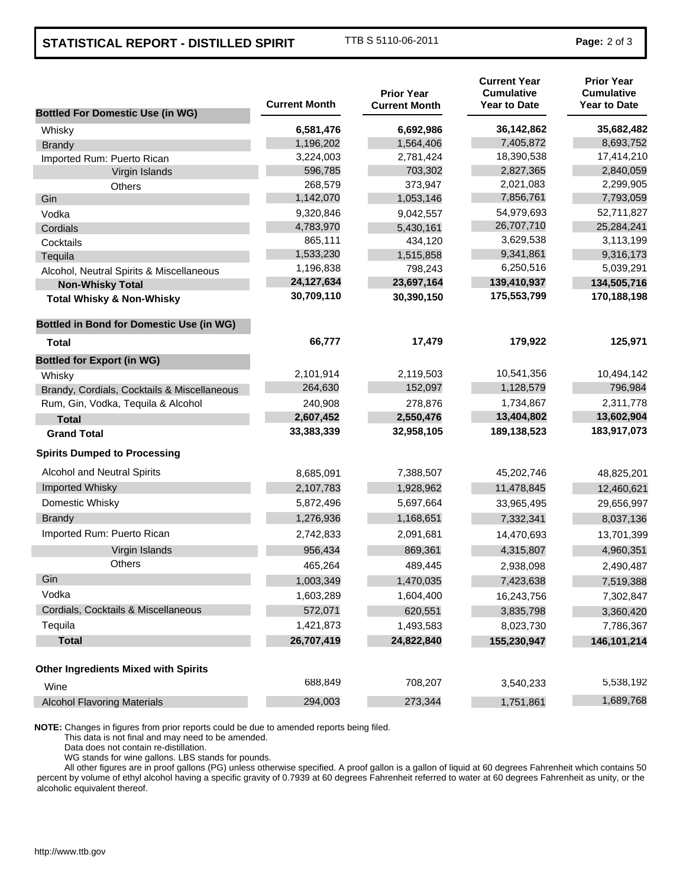## **STATISTICAL REPORT - DISTILLED SPIRIT** TTB S 5110-06-2011 **Page:** 2 of 3

| <b>Bottled For Domestic Use (in WG)</b>         | <b>Current Month</b> | <b>Prior Year</b><br><b>Current Month</b> | <b>Current Year</b><br><b>Cumulative</b><br><b>Year to Date</b> | <b>Prior Year</b><br><b>Cumulative</b><br><b>Year to Date</b> |
|-------------------------------------------------|----------------------|-------------------------------------------|-----------------------------------------------------------------|---------------------------------------------------------------|
| Whisky                                          | 6,581,476            | 6,692,986                                 | 36,142,862                                                      | 35,682,482                                                    |
| <b>Brandy</b>                                   | 1,196,202            | 1,564,406                                 | 7,405,872                                                       | 8,693,752                                                     |
| Imported Rum: Puerto Rican                      | 3,224,003            | 2,781,424                                 | 18,390,538                                                      | 17,414,210                                                    |
| Virgin Islands                                  | 596,785              | 703,302                                   | 2,827,365                                                       | 2,840,059                                                     |
| Others                                          | 268,579              | 373,947                                   | 2,021,083                                                       | 2,299,905                                                     |
| Gin                                             | 1,142,070            | 1,053,146                                 | 7,856,761                                                       | 7,793,059                                                     |
| Vodka                                           | 9,320,846            | 9,042,557                                 | 54,979,693                                                      | 52,711,827                                                    |
| Cordials                                        | 4,783,970            | 5,430,161                                 | 26,707,710                                                      | 25,284,241                                                    |
| Cocktails                                       | 865,111              | 434,120                                   | 3,629,538                                                       | 3,113,199                                                     |
| Tequila                                         | 1,533,230            | 1,515,858                                 | 9,341,861                                                       | 9,316,173                                                     |
| Alcohol, Neutral Spirits & Miscellaneous        | 1,196,838            | 798,243                                   | 6,250,516                                                       | 5,039,291                                                     |
| <b>Non-Whisky Total</b>                         | 24,127,634           | 23,697,164                                | 139,410,937                                                     | 134,505,716                                                   |
| <b>Total Whisky &amp; Non-Whisky</b>            | 30,709,110           | 30,390,150                                | 175,553,799                                                     | 170,188,198                                                   |
| <b>Bottled in Bond for Domestic Use (in WG)</b> |                      |                                           |                                                                 |                                                               |
| Total                                           | 66,777               | 17,479                                    | 179,922                                                         | 125,971                                                       |
| <b>Bottled for Export (in WG)</b>               |                      |                                           |                                                                 |                                                               |
| Whisky                                          | 2,101,914            | 2,119,503                                 | 10,541,356                                                      | 10,494,142                                                    |
| Brandy, Cordials, Cocktails & Miscellaneous     | 264,630              | 152,097                                   | 1,128,579                                                       | 796,984                                                       |
| Rum, Gin, Vodka, Tequila & Alcohol              | 240,908              | 278,876                                   | 1,734,867                                                       | 2,311,778                                                     |
| <b>Total</b>                                    | 2,607,452            | 2,550,476                                 | 13,404,802                                                      | 13,602,904                                                    |
| <b>Grand Total</b>                              | 33,383,339           | 32,958,105                                | 189,138,523                                                     | 183,917,073                                                   |
| <b>Spirits Dumped to Processing</b>             |                      |                                           |                                                                 |                                                               |
| Alcohol and Neutral Spirits                     | 8,685,091            | 7,388,507                                 | 45,202,746                                                      | 48,825,201                                                    |
| Imported Whisky                                 | 2,107,783            | 1,928,962                                 | 11,478,845                                                      | 12,460,621                                                    |
| Domestic Whisky                                 | 5,872,496            | 5,697,664                                 | 33,965,495                                                      | 29,656,997                                                    |
| <b>Brandy</b>                                   | 1,276,936            | 1,168,651                                 | 7,332,341                                                       | 8,037,136                                                     |
| Imported Rum: Puerto Rican                      | 2,742,833            | 2,091,681                                 | 14,470,693                                                      | 13,701,399                                                    |
| Virgin Islands                                  | 956,434              | 869,361                                   | 4,315,807                                                       | 4,960,351                                                     |
| <b>Others</b>                                   | 465,264              | 489,445                                   | 2,938,098                                                       | 2,490,487                                                     |
| Gin                                             | 1,003,349            | 1,470,035                                 | 7,423,638                                                       | 7,519,388                                                     |
| Vodka                                           | 1,603,289            | 1,604,400                                 | 16,243,756                                                      | 7,302,847                                                     |
| Cordials, Cocktails & Miscellaneous             | 572,071              | 620,551                                   | 3,835,798                                                       | 3,360,420                                                     |
| Tequila                                         | 1,421,873            | 1,493,583                                 | 8,023,730                                                       | 7,786,367                                                     |
| <b>Total</b>                                    | 26,707,419           | 24,822,840                                | 155,230,947                                                     | 146, 101, 214                                                 |
| <b>Other Ingredients Mixed with Spirits</b>     |                      |                                           |                                                                 |                                                               |
| Wine                                            | 688,849              | 708,207                                   | 3,540,233                                                       | 5,538,192                                                     |
| <b>Alcohol Flavoring Materials</b>              | 294,003              | 273,344                                   | 1,751,861                                                       | 1,689,768                                                     |

**NOTE:** Changes in figures from prior reports could be due to amended reports being filed.

This data is not final and may need to be amended.

Data does not contain re-distillation.

WG stands for wine gallons. LBS stands for pounds.

All other figures are in proof gallons (PG) unless otherwise specified. A proof gallon is a gallon of liquid at 60 degrees Fahrenheit which contains 50 percent by volume of ethyl alcohol having a specific gravity of 0.7939 at 60 degrees Fahrenheit referred to water at 60 degrees Fahrenheit as unity, or the alcoholic equivalent thereof.